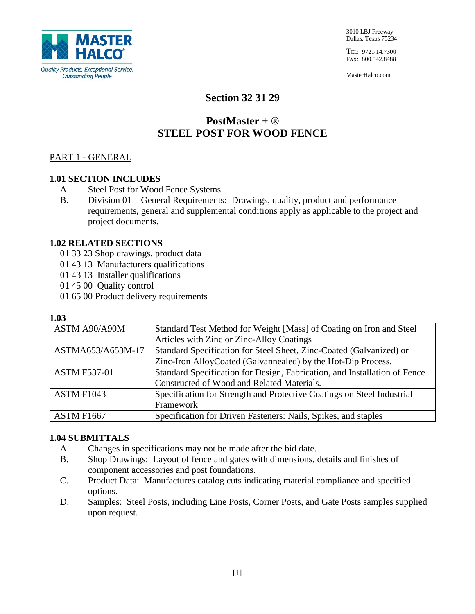

TEL: 972.714.7300 FAX: 800.542.8488

MasterHalco.com

## **Section 32 31 29**

# **PostMaster + ® STEEL POST FOR WOOD FENCE**

## PART 1 - GENERAL

## **1.01 SECTION INCLUDES**

- A. Steel Post for Wood Fence Systems.
- B. Division 01 General Requirements: Drawings, quality, product and performance requirements, general and supplemental conditions apply as applicable to the project and project documents.

#### **1.02 RELATED SECTIONS**

- 01 33 23 Shop drawings, product data
- 01 43 13 Manufacturers qualifications
- 01 43 13 Installer qualifications
- 01 45 00 Quality control
- 01 65 00 Product delivery requirements

#### **1.03**

| ASTM A90/A90M       | Standard Test Method for Weight [Mass] of Coating on Iron and Steel       |
|---------------------|---------------------------------------------------------------------------|
|                     | Articles with Zinc or Zinc-Alloy Coatings                                 |
| ASTMA653/A653M-17   | Standard Specification for Steel Sheet, Zinc-Coated (Galvanized) or       |
|                     | Zinc-Iron AlloyCoated (Galvannealed) by the Hot-Dip Process.              |
| <b>ASTM F537-01</b> | Standard Specification for Design, Fabrication, and Installation of Fence |
|                     | Constructed of Wood and Related Materials.                                |
| <b>ASTM F1043</b>   | Specification for Strength and Protective Coatings on Steel Industrial    |
|                     | Framework                                                                 |
| ASTM F1667          | Specification for Driven Fasteners: Nails, Spikes, and staples            |

## **1.04 SUBMITTALS**

- A. Changes in specifications may not be made after the bid date.
- B. Shop Drawings: Layout of fence and gates with dimensions, details and finishes of component accessories and post foundations.
- C. Product Data: Manufactures catalog cuts indicating material compliance and specified options.
- D. Samples: Steel Posts, including Line Posts, Corner Posts, and Gate Posts samples supplied upon request.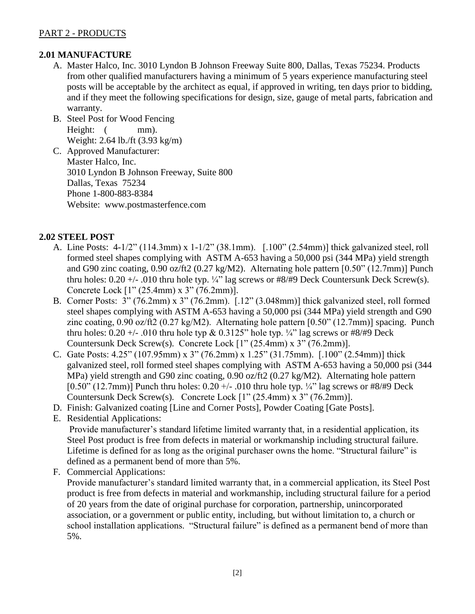## PART 2 - PRODUCTS

## **2.01 MANUFACTURE**

- A. Master Halco, Inc. 3010 Lyndon B Johnson Freeway Suite 800, Dallas, Texas 75234. Products from other qualified manufacturers having a minimum of 5 years experience manufacturing steel posts will be acceptable by the architect as equal, if approved in writing, ten days prior to bidding, and if they meet the following specifications for design, size, gauge of metal parts, fabrication and warranty.
- B. Steel Post for Wood Fencing Height:  $(mm)$ . Weight: 2.64 lb./ft (3.93 kg/m)
- C. Approved Manufacturer: Master Halco, Inc. 3010 Lyndon B Johnson Freeway, Suite 800 Dallas, Texas 75234 Phone 1-800-883-8384 Website: www.postmasterfence.com

## **2.02 STEEL POST**

- A. Line Posts: 4-1/2" (114.3mm) x 1-1/2" (38.1mm). [.100" (2.54mm)] thick galvanized steel, roll formed steel shapes complying with ASTM A-653 having a 50,000 psi (344 MPa) yield strength and G90 zinc coating, 0.90 oz/ft2 (0.27 kg/M2). Alternating hole pattern [0.50" (12.7mm)] Punch thru holes:  $0.20 +/- 0.010$  thru hole typ.  $\frac{1}{4}$ " lag screws or #8/#9 Deck Countersunk Deck Screw(s). Concrete Lock [1" (25.4mm) x 3" (76.2mm)].
- B. Corner Posts: 3" (76.2mm) x 3" (76.2mm). [.12" (3.048mm)] thick galvanized steel, roll formed steel shapes complying with ASTM A-653 having a 50,000 psi (344 MPa) yield strength and G90 zinc coating, 0.90 oz/ft2 (0.27 kg/M2). Alternating hole pattern [0.50" (12.7mm)] spacing. Punch thru holes:  $0.20 +/- 0.010$  thru hole typ &  $0.3125$ " hole typ.  $\frac{1}{4}$ " lag screws or #8/#9 Deck Countersunk Deck Screw(s). Concrete Lock [1" (25.4mm) x 3" (76.2mm)].
- C. Gate Posts: 4.25" (107.95mm) x 3" (76.2mm) x 1.25" (31.75mm). [.100" (2.54mm)] thick galvanized steel, roll formed steel shapes complying with ASTM A-653 having a 50,000 psi (344 MPa) yield strength and G90 zinc coating, 0.90 oz/ft2 (0.27 kg/M2). Alternating hole pattern [0.50" (12.7mm)] Punch thru holes:  $0.20 +/- 0.010$  thru hole typ.  $\frac{1}{4}$ " lag screws or #8/#9 Deck Countersunk Deck Screw(s). Concrete Lock [1" (25.4mm) x 3" (76.2mm)].
- D. Finish: Galvanized coating [Line and Corner Posts], Powder Coating [Gate Posts].
- E. Residential Applications: Provide manufacturer's standard lifetime limited warranty that, in a residential application, its Steel Post product is free from defects in material or workmanship including structural failure. Lifetime is defined for as long as the original purchaser owns the home. "Structural failure" is defined as a permanent bend of more than 5%.
- F. Commercial Applications:

Provide manufacturer's standard limited warranty that, in a commercial application, its Steel Post product is free from defects in material and workmanship, including structural failure for a period of 20 years from the date of original purchase for corporation, partnership, unincorporated association, or a government or public entity, including, but without limitation to, a church or school installation applications. "Structural failure" is defined as a permanent bend of more than 5%.